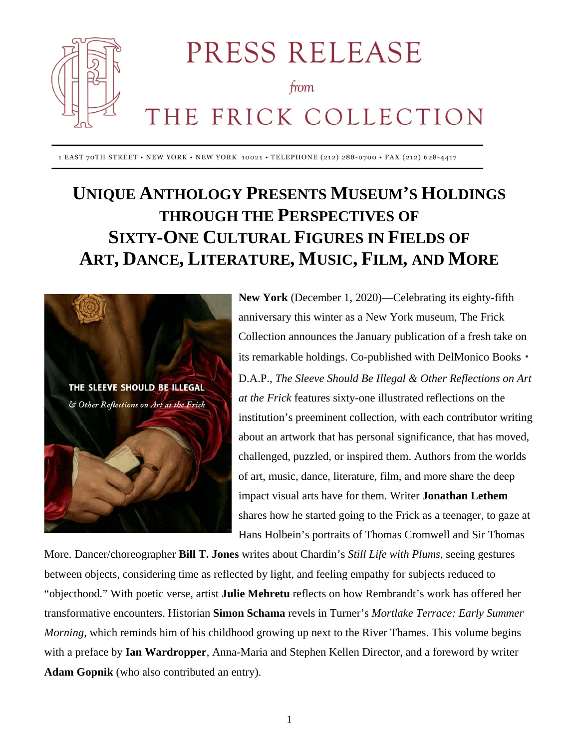

PRESS RELEASE

#### from

# THE FRICK COLLECTION

1 EAST 70TH STREET • NEW YORK • NEW YORK 10021 • TELEPHONE (212) 288-0700 • FAX (212) 628-4417

## **UNIQUE ANTHOLOGY PRESENTS MUSEUM'S HOLDINGS THROUGH THE PERSPECTIVES OF SIXTY-ONE CULTURAL FIGURES IN FIELDS OF ART, DANCE, LITERATURE, MUSIC, FILM, AND MORE**



**New York** (December 1, 2020)—Celebrating its eighty-fifth anniversary this winter as a New York museum, The Frick Collection announces the January publication of a fresh take on its remarkable holdings. Co-published with DelMonico Books・ D.A.P., *The Sleeve Should Be Illegal & Other Reflections on Art at the Frick* features sixty-one illustrated reflections on the institution's preeminent collection, with each contributor writing about an artwork that has personal significance, that has moved, challenged, puzzled, or inspired them. Authors from the worlds of art, music, dance, literature, film, and more share the deep impact visual arts have for them. Writer **Jonathan Lethem** shares how he started going to the Frick as a teenager, to gaze at Hans Holbein's portraits of Thomas Cromwell and Sir Thomas

More. Dancer/choreographer **Bill T. Jones** writes about Chardin's *Still Life with Plums*, seeing gestures between objects, considering time as reflected by light, and feeling empathy for subjects reduced to "objecthood." With poetic verse, artist **Julie Mehretu** reflects on how Rembrandt's work has offered her transformative encounters. Historian **Simon Schama** revels in Turner's *Mortlake Terrace: Early Summer Morning*, which reminds him of his childhood growing up next to the River Thames. This volume begins with a preface by **Ian Wardropper**, Anna-Maria and Stephen Kellen Director, and a foreword by writer **Adam Gopnik** (who also contributed an entry).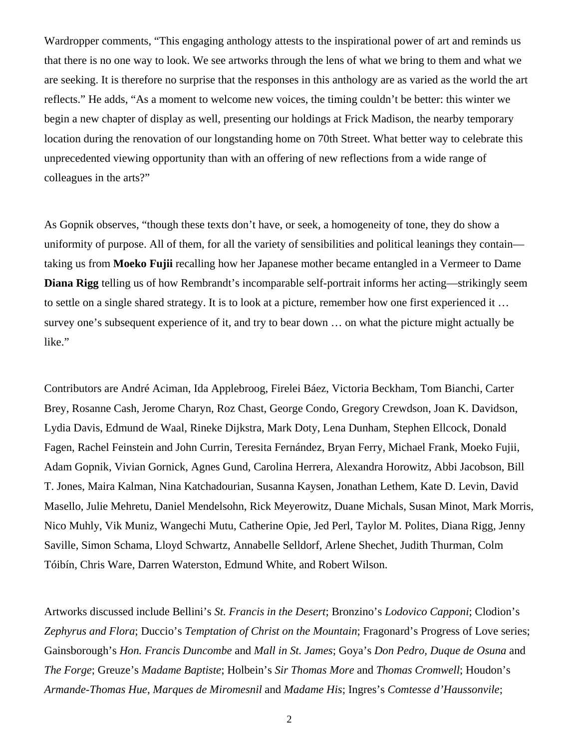Wardropper comments, "This engaging anthology attests to the inspirational power of art and reminds us that there is no one way to look. We see artworks through the lens of what we bring to them and what we are seeking. It is therefore no surprise that the responses in this anthology are as varied as the world the art reflects." He adds, "As a moment to welcome new voices, the timing couldn't be better: this winter we begin a new chapter of display as well, presenting our holdings at Frick Madison, the nearby temporary location during the renovation of our longstanding home on 70th Street. What better way to celebrate this unprecedented viewing opportunity than with an offering of new reflections from a wide range of colleagues in the arts?"

As Gopnik observes, "though these texts don't have, or seek, a homogeneity of tone, they do show a uniformity of purpose. All of them, for all the variety of sensibilities and political leanings they contain taking us from **Moeko Fujii** recalling how her Japanese mother became entangled in a Vermeer to Dame **Diana Rigg** telling us of how Rembrandt's incomparable self-portrait informs her acting—strikingly seem to settle on a single shared strategy. It is to look at a picture, remember how one first experienced it … survey one's subsequent experience of it, and try to bear down … on what the picture might actually be like."

Contributors are André Aciman, Ida Applebroog, Firelei Báez, Victoria Beckham, Tom Bianchi, Carter Brey, Rosanne Cash, Jerome Charyn, Roz Chast, George Condo, Gregory Crewdson, Joan K. Davidson, Lydia Davis, Edmund de Waal, Rineke Dijkstra, Mark Doty, Lena Dunham, Stephen Ellcock, Donald Fagen, Rachel Feinstein and John Currin, Teresita Fernández, Bryan Ferry, Michael Frank, Moeko Fujii, Adam Gopnik, Vivian Gornick, Agnes Gund, Carolina Herrera, Alexandra Horowitz, Abbi Jacobson, Bill T. Jones, Maira Kalman, Nina Katchadourian, Susanna Kaysen, Jonathan Lethem, Kate D. Levin, David Masello, Julie Mehretu, Daniel Mendelsohn, Rick Meyerowitz, Duane Michals, Susan Minot, Mark Morris, Nico Muhly, Vik Muniz, Wangechi Mutu, Catherine Opie, Jed Perl, Taylor M. Polites, Diana Rigg, Jenny Saville, Simon Schama, Lloyd Schwartz, Annabelle Selldorf, Arlene Shechet, Judith Thurman, Colm Tóibín, Chris Ware, Darren Waterston, Edmund White, and Robert Wilson.

Artworks discussed include Bellini's *St. Francis in the Desert*; Bronzino's *Lodovico Capponi*; Clodion's *Zephyrus and Flora*; Duccio's *Temptation of Christ on the Mountain*; Fragonard's Progress of Love series; Gainsborough's *Hon. Francis Duncombe* and *Mall in St. James*; Goya's *Don Pedro, Duque de Osuna* and *The Forge*; Greuze's *Madame Baptiste*; Holbein's *Sir Thomas More* and *Thomas Cromwell*; Houdon's *Armande-Thomas Hue, Marques de Miromesnil* and *Madame His*; Ingres's *Comtesse d'Haussonvile*;